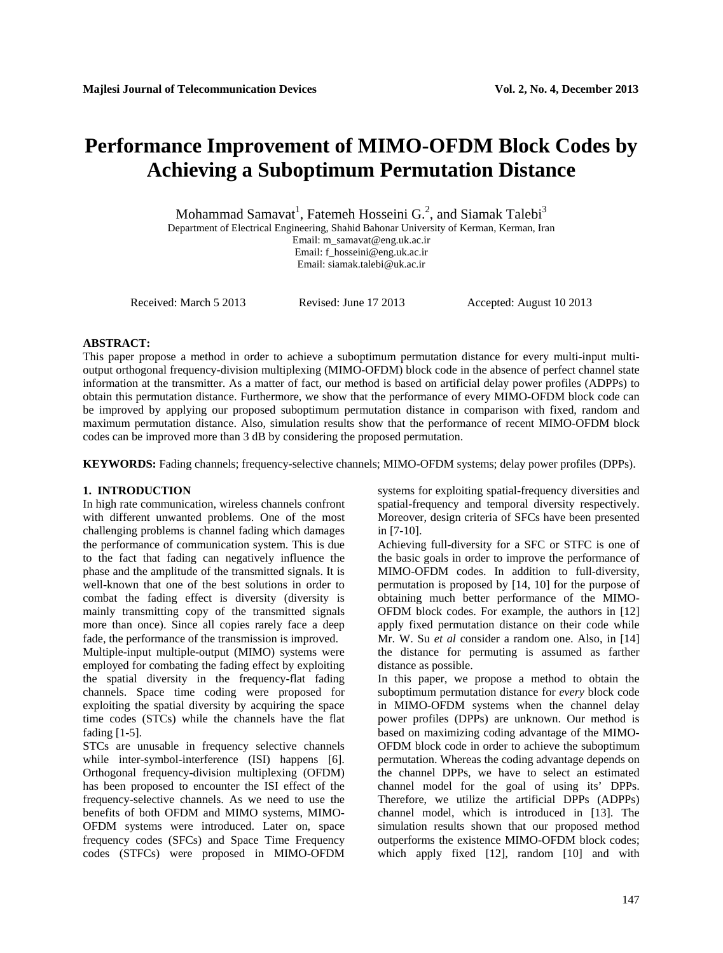# **Performance Improvement of MIMO-OFDM Block Codes by Achieving a Suboptimum Permutation Distance**

Mohammad Samavat<sup>1</sup>, Fatemeh Hosseini G.<sup>2</sup>, and Siamak Talebi<sup>3</sup>

Department of Electrical Engineering, Shahid Bahonar University of Kerman, Kerman, Iran Email: m\_samavat@eng.uk.ac.ir Email: f\_hosseini@eng.uk.ac.ir

Email: siamak.talebi@uk.ac.ir

Received: March 5 2013 Revised: June 17 2013 Accepted: August 10 2013

## **ABSTRACT:**

This paper propose a method in order to achieve a suboptimum permutation distance for every multi-input multioutput orthogonal frequency-division multiplexing (MIMO-OFDM) block code in the absence of perfect channel state information at the transmitter. As a matter of fact, our method is based on artificial delay power profiles (ADPPs) to obtain this permutation distance. Furthermore, we show that the performance of every MIMO-OFDM block code can be improved by applying our proposed suboptimum permutation distance in comparison with fixed, random and maximum permutation distance. Also, simulation results show that the performance of recent MIMO-OFDM block codes can be improved more than 3 dB by considering the proposed permutation.

**KEYWORDS:** Fading channels; frequency-selective channels; MIMO-OFDM systems; delay power profiles (DPPs).

# **1. INTRODUCTION**

In high rate communication, wireless channels confront with different unwanted problems. One of the most challenging problems is channel fading which damages the performance of communication system. This is due to the fact that fading can negatively influence the phase and the amplitude of the transmitted signals. It is well-known that one of the best solutions in order to combat the fading effect is diversity (diversity is mainly transmitting copy of the transmitted signals more than once). Since all copies rarely face a deep fade, the performance of the transmission is improved.

Multiple-input multiple-output (MIMO) systems were employed for combating the fading effect by exploiting the spatial diversity in the frequency-flat fading channels. Space time coding were proposed for exploiting the spatial diversity by acquiring the space time codes (STCs) while the channels have the flat fading [1-5].

STCs are unusable in frequency selective channels while inter-symbol-interference (ISI) happens [6]. Orthogonal frequency-division multiplexing (OFDM) has been proposed to encounter the ISI effect of the frequency-selective channels. As we need to use the benefits of both OFDM and MIMO systems, MIMO-OFDM systems were introduced. Later on, space frequency codes (SFCs) and Space Time Frequency codes (STFCs) were proposed in MIMO-OFDM

systems for exploiting spatial-frequency diversities and spatial-frequency and temporal diversity respectively. Moreover, design criteria of SFCs have been presented in [7-10].

Achieving full-diversity for a SFC or STFC is one of the basic goals in order to improve the performance of MIMO-OFDM codes. In addition to full-diversity, permutation is proposed by [14, 10] for the purpose of obtaining much better performance of the MIMO-OFDM block codes. For example, the authors in [12] apply fixed permutation distance on their code while Mr. W. Su *et al* consider a random one. Also, in [14] the distance for permuting is assumed as farther distance as possible.

In this paper, we propose a method to obtain the suboptimum permutation distance for *every* block code in MIMO-OFDM systems when the channel delay power profiles (DPPs) are unknown. Our method is based on maximizing coding advantage of the MIMO-OFDM block code in order to achieve the suboptimum permutation. Whereas the coding advantage depends on the channel DPPs, we have to select an estimated channel model for the goal of using its' DPPs. Therefore, we utilize the artificial DPPs (ADPPs) channel model, which is introduced in [13]. The simulation results shown that our proposed method outperforms the existence MIMO-OFDM block codes; which apply fixed [12], random [10] and with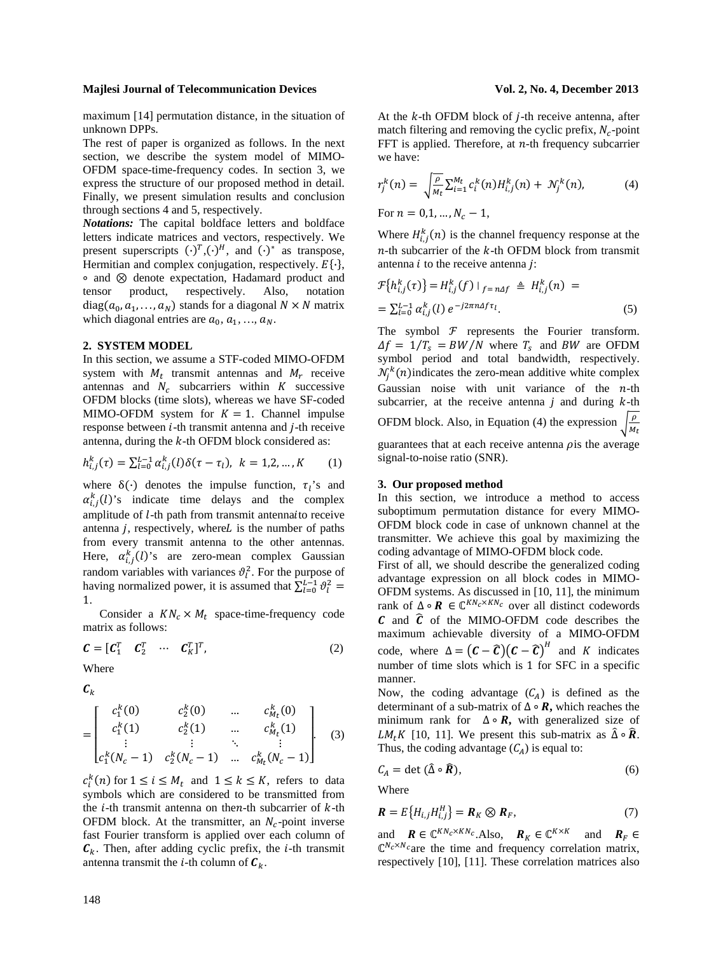maximum [14] permutation distance, in the situation of

unknown DPPs. The rest of paper is organized as follows. In the next section, we describe the system model of MIMO-OFDM space-time-frequency codes. In section 3, we express the structure of our proposed method in detail. Finally, we present simulation results and conclusion through sections 4 and 5, respectively.

*Notations:* The capital boldface letters and boldface letters indicate matrices and vectors, respectively. We present superscripts  $(\cdot)^T$ ,  $(\cdot)^H$ , and  $(\cdot)^*$  as transpose, Hermitian and complex conjugation, respectively.  $E\{\cdot\}$ ,  $\circ$  and  $\otimes$  denote expectation, Hadamard product and tensor product, respectively. Also, notation diag( $a_0, a_1, \ldots, a_N$ ) stands for a diagonal  $N \times N$  matrix which diagonal entries are  $a_0$ ,  $a_1$ , ...,  $a_N$ .

### **2. SYSTEM MODEL**

In this section, we assume a STF-coded MIMO-OFDM system with  $M_t$  transmit antennas and  $M_t$  receive antennas and  $N_c$  subcarriers within K successive OFDM blocks (time slots), whereas we have SF-coded MIMO-OFDM system for  $K = 1$ . Channel impulse response between  $i$ -th transmit antenna and  $j$ -th receive antenna, during the  $k$ -th OFDM block considered as:

$$
h_{i,j}^k(\tau) = \sum_{l=0}^{L-1} \alpha_{i,j}^k(l) \delta(\tau - \tau_l), \ k = 1, 2, ..., K \qquad (1)
$$

where  $\delta(\cdot)$  denotes the impulse function,  $\tau_i$ 's and  $\alpha_{i,j}^k(l)$ 's indicate time delays and the complex amplitude of *l*-th path from transmit antennaito receive antenna  $j$ , respectively, where $L$  is the number of paths from every transmit antenna to the other antennas. Here,  $\alpha_{i,j}^k(l)$ 's are zero-mean complex Gaussian random variables with variances  $\vartheta_l^2$ . For the purpose of having normalized power, it is assumed that  $\sum_{l=0}^{L-1} \vartheta_l^2 =$ 1.

Consider a  $KN_c \times M_t$  space-time-frequency code matrix as follows:

$$
\mathbf{C} = [\mathbf{C}_1^T \quad \mathbf{C}_2^T \quad \cdots \quad \mathbf{C}_K^T]^T, \tag{2}
$$

Where

 $c_{\nu}$ 

$$
= \begin{bmatrix} c_1^k(0) & c_2^k(0) & \dots & c_{M_t}^k(0) \\ c_1^k(1) & c_2^k(1) & \dots & c_{M_t}^k(1) \\ \vdots & \vdots & \ddots & \vdots \\ c_1^k(N_c-1) & c_2^k(N_c-1) & \dots & c_{M_t}^k(N_c-1) \end{bmatrix}
$$
 (3)

 $c_i^k(n)$  for  $1 \leq i \leq M_t$  and  $1 \leq k \leq K$ , refers to data symbols which are considered to be transmitted from the  $i$ -th transmit antenna on then-th subcarrier of  $k$ -th OFDM block. At the transmitter, an  $N_c$ -point inverse fast Fourier transform is applied over each column of  $C_k$ . Then, after adding cyclic prefix, the *i*-th transmit antenna transmit the *i*-th column of  $\mathbf{C}_k$ .

At the  $k$ -th OFDM block of  $j$ -th receive antenna, after match filtering and removing the cyclic prefix,  $N_c$ -point FFT is applied. Therefore, at  $n$ -th frequency subcarrier we have:

$$
r_j^k(n) = \sqrt{\frac{\rho}{M_t}} \sum_{i=1}^{M_t} c_i^k(n) H_{i,j}^k(n) + \mathcal{N}_j^k(n), \tag{4}
$$

For  $n = 0, 1, ..., N_c - 1$ ,

Where  $H_{i,j}^{k}(n)$  is the channel frequency response at the  $n$ -th subcarrier of the  $k$ -th OFDM block from transmit antenna  $i$  to the receive antenna  $j$ :

$$
\mathcal{F}\{h_{i,j}^k(\tau)\} = H_{i,j}^k(f) \mid_{f = n\Delta f} \triangleq H_{i,j}^k(n) =
$$
  
=  $\sum_{l=0}^{L-1} \alpha_{i,j}^k(l) e^{-j2\pi n \Delta f \tau_l}.$  (5)

The symbol  $F$  represents the Fourier transform.  $\Delta f = 1/T_s = BW/N$  where  $T_s$  and BW are OFDM symbol period and total bandwidth, respectively.  $\mathcal{N}_j^k(n)$  indicates the zero-mean additive white complex Gaussian noise with unit variance of the  $n$ -th subcarrier, at the receive antenna  $j$  and during  $k$ -th OFDM block. Also, in Equation (4) the expression  $\sqrt{\frac{\rho}{M_t}}$ guarantees that at each receive antenna  $\rho$ is the average signal-to-noise ratio (SNR).

### **3. Our proposed method**

In this section, we introduce a method to access suboptimum permutation distance for every MIMO-OFDM block code in case of unknown channel at the transmitter. We achieve this goal by maximizing the coding advantage of MIMO-OFDM block code.

First of all, we should describe the generalized coding advantage expression on all block codes in MIMO-OFDM systems. As discussed in [10, 11], the minimum rank of  $\Delta \circ \mathbf{R} \in \mathbb{C}^{KN_c \times KN_c}$  over all distinct codewords  $\boldsymbol{c}$  and  $\boldsymbol{\hat{c}}$  of the MIMO-OFDM code describes the maximum achievable diversity of a MIMO-OFDM code, where  $\Delta = (\mathbf{C} - \hat{\mathbf{C}})(\mathbf{C} - \hat{\mathbf{C}})^H$  and K indicates number of time slots which is 1 for SFC in a specific manner.

Now, the coding advantage  $(C_A)$  is defined as the determinant of a sub-matrix of  $\Delta \circ \mathbf{R}$ , which reaches the minimum rank for  $\Delta \circ \mathbf{R}$ , with generalized size of *LM<sub>t</sub>K* [10, 11]. We present this sub-matrix as  $\hat{\Delta} \circ \hat{\mathbf{R}}$ . Thus, the coding advantage  $(C_A)$  is equal to:

$$
C_A = \det(\hat{\Delta} \circ \hat{\mathbf{R}}), \tag{6}
$$

Where

$$
\mathbf{R} = E\{H_{i,j}H_{i,j}^H\} = \mathbf{R}_K \otimes \mathbf{R}_F, \tag{7}
$$

and  $\mathbf{R} \in \mathbb{C}^{KN_c \times KN_c}$ . Also,  $\mathbf{R}_K \in \mathbb{C}^{K \times K}$  and  $\mathbf{R}_F \in$  $\mathbb{C}^{N_c \times N_c}$  are the time and frequency correlation matrix, respectively [10], [11]. These correlation matrices also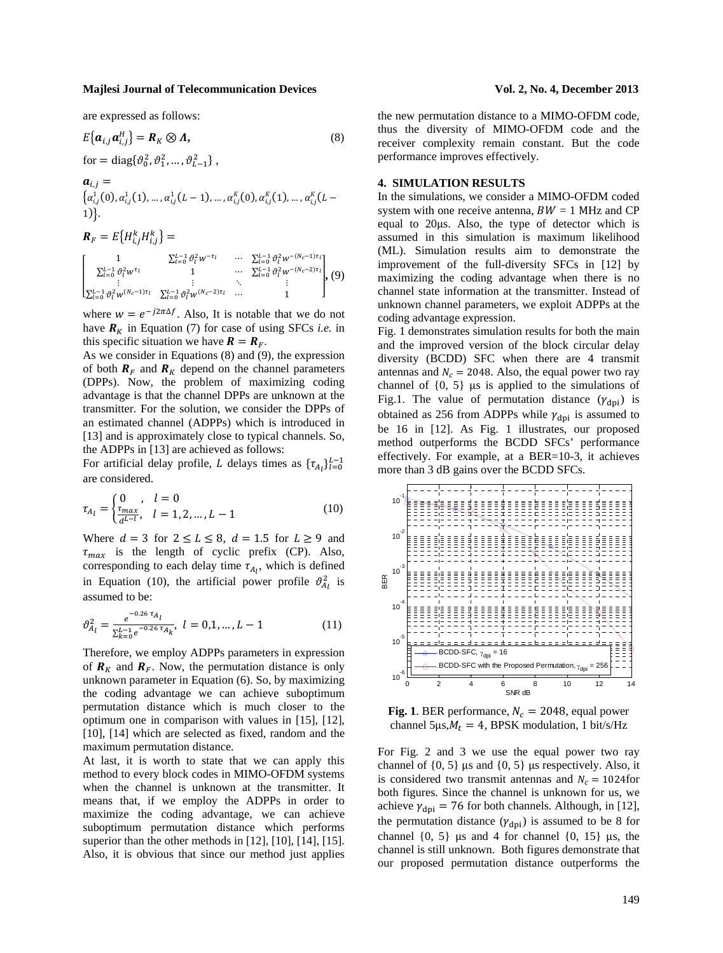are expressed as follows:

$$
E\{\boldsymbol{a}_{i,j}\boldsymbol{a}_{i,j}^H\} = \boldsymbol{R}_K \otimes \boldsymbol{\Lambda},
$$
\n(8)  
\nfor = diag{ $\vartheta_0^2, \vartheta_1^2, ..., \vartheta_{L-1}^2$ },  
\n
$$
\boldsymbol{a}_{i,j} =
$$
\n
$$
\{\alpha_{i,j}^1(0), \alpha_{i,j}^1(1), ..., \alpha_{i,j}^1(L-1), ..., \alpha_{i,j}^K(0), \alpha_{i,j}^K(1), ..., \alpha_{i,j}^K(L-1))\}.
$$
\n
$$
\boldsymbol{R}_F = E\{H_{i,j}^k H_{i,j}^k\} =
$$
\n
$$
\begin{bmatrix}\n1 & \sum_{l=0}^{L-1} \vartheta_l^2 w^{-\tau_l} & \cdots & \sum_{l=0}^{L-1} \vartheta_l^2 w^{-(N_c-1)\tau_l} \\ \sum_{l=0}^{L-1} \vartheta_l^2 w^{\tau_l} & 1 & \cdots & \sum_{l=0}^{L-1} \vartheta_l^2 w^{-(N_c-2)\tau_l} \\ \vdots & \vdots & \ddots & \vdots \\ \sum_{l=0}^{L-1} \vartheta_l^2 w^{(N_c-1)\tau_l} & \sum_{l=0}^{L-1} \vartheta_l^2 w^{(N_c-2)\tau_l} & \cdots & 1\n\end{bmatrix},
$$
\n(9)

where  $w = e^{-j2\pi\Delta f}$ . Also, It is notable that we do not have  $\mathbf{R}_K$  in Equation (7) for case of using SFCs *i.e.* in this specific situation we have  $\mathbf{R} = \mathbf{R}_F$ .

As we consider in Equations (8) and (9), the expression of both  $R_F$  and  $R_K$  depend on the channel parameters (DPPs). Now, the problem of maximizing coding advantage is that the channel DPPs are unknown at the transmitter. For the solution, we consider the DPPs of an estimated channel (ADPPs) which is introduced in [13] and is approximately close to typical channels. So, the ADPPs in [13] are achieved as follows:

For artificial delay profile, L delays times as  $\{\tau_{A_l}\}_{l=0}^{L-1}$ are considered.

$$
\tau_{A_l} = \begin{cases} 0, & l = 0\\ \frac{\tau_{max}}{d^{L-l}}, & l = 1, 2, ..., L-1 \end{cases}
$$
 (10)

Where  $d = 3$  for  $2 \le L \le 8$ ,  $d = 1.5$  for  $L \ge 9$  and  $\tau_{max}$  is the length of cyclic prefix (CP). Also, corresponding to each delay time  $\tau_{A_l}$ , which is defined in Equation (10), the artificial power profile  $\vartheta_{A_l}^2$  is assumed to be:

$$
\vartheta_{A_l}^2 = \frac{e^{-0.26 \tau_{A_l}}}{\Sigma_{k=0}^{L-1} e^{-0.26 \tau_{A_k}}}, \ l = 0, 1, ..., L-1
$$
 (11)

Therefore, we employ ADPPs parameters in expression of  $\mathbf{R}_K$  and  $\mathbf{R}_F$ . Now, the permutation distance is only unknown parameter in Equation (6). So, by maximizing the coding advantage we can achieve suboptimum permutation distance which is much closer to the optimum one in comparison with values in [15], [12], [10], [14] which are selected as fixed, random and the maximum permutation distance.

At last, it is worth to state that we can apply this method to every block codes in MIMO-OFDM systems when the channel is unknown at the transmitter. It means that, if we employ the ADPPs in order to maximize the coding advantage, we can achieve suboptimum permutation distance which performs superior than the other methods in [12], [10], [14], [15]. Also, it is obvious that since our method just applies

the new permutation distance to a MIMO-OFDM code, thus the diversity of MIMO-OFDM code and the receiver complexity remain constant. But the code performance improves effectively.

#### **4. SIMULATION RESULTS**

In the simulations, we consider a MIMO-OFDM coded system with one receive antenna,  $BW = 1$  MHz and CP equal to 20µs. Also, the type of detector which is assumed in this simulation is maximum likelihood (ML). Simulation results aim to demonstrate the improvement of the full-diversity SFCs in [12] by maximizing the coding advantage when there is no channel state information at the transmitter. Instead of unknown channel parameters, we exploit ADPPs at the coding advantage expression.

Fig. 1 demonstrates simulation results for both the main and the improved version of the block circular delay diversity (BCDD) SFC when there are 4 transmit antennas and  $N_c = 2048$ . Also, the equal power two ray channel of  $\{0, 5\}$  µs is applied to the simulations of Fig.1. The value of permutation distance  $(\gamma_{\text{dpi}})$  is obtained as 256 from ADPPs while  $\gamma_{\text{dpi}}$  is assumed to be 16 in [12]. As Fig. 1 illustrates, our proposed method outperforms the BCDD SFCs' performance effectively. For example, at a BER=10-3, it achieves more than 3 dB gains over the BCDD SFCs.



**Fig. 1**. BER performance,  $N_c = 2048$ , equal power channel 5 $\mu s$ ,  $M_t = 4$ , BPSK modulation, 1 bit/s/Hz

For Fig. 2 and 3 we use the equal power two ray channel of  $\{0, 5\}$  µs and  $\{0, 5\}$  µs respectively. Also, it is considered two transmit antennas and  $N_c = 1024$  for both figures. Since the channel is unknown for us, we achieve  $\gamma_{\text{dpi}} = 76$  for both channels. Although, in [12], the permutation distance  $(\gamma_{\text{dpi}})$  is assumed to be 8 for channel  $\{0, 5\}$  µs and 4 for channel  $\{0, 15\}$  µs, the channel is still unknown. Both figures demonstrate that our proposed permutation distance outperforms the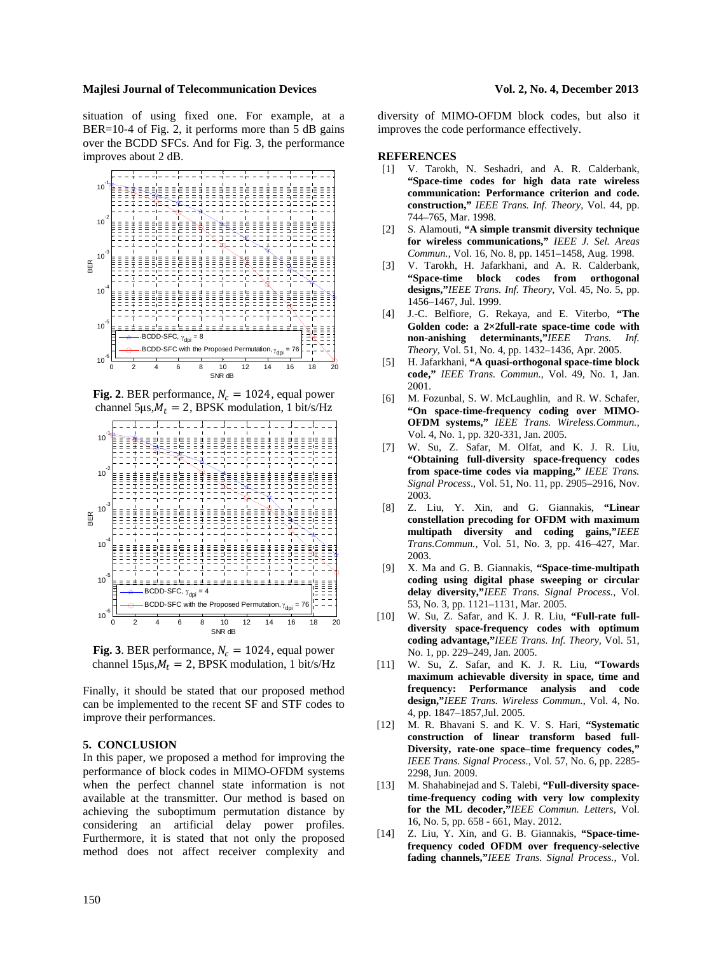situation of using fixed one. For example, at a BER=10-4 of Fig. 2, it performs more than 5 dB gains over the BCDD SFCs. And for Fig. 3, the performance improves about 2 dB.



**Fig. 2**. BER performance,  $N_c = 1024$ , equal power channel 5 $\mu s$ , $M_t = 2$ , BPSK modulation, 1 bit/s/Hz



**Fig. 3**. BER performance,  $N_c = 1024$ , equal power channel 15 $\mu s$ ,  $M_t = 2$ , BPSK modulation, 1 bit/s/Hz

Finally, it should be stated that our proposed method can be implemented to the recent SF and STF codes to improve their performances.

### **5. CONCLUSION**

In this paper, we proposed a method for improving the performance of block codes in MIMO-OFDM systems when the perfect channel state information is not available at the transmitter. Our method is based on achieving the suboptimum permutation distance by considering an artificial delay power profiles. Furthermore, it is stated that not only the proposed method does not affect receiver complexity and

diversity of MIMO-OFDM block codes, but also it improves the code performance effectively.

#### **REFERENCES**

- [1] V. Tarokh, N. Seshadri, and A. R. Calderbank, **"Space-time codes for high data rate wireless communication: Performance criterion and code. construction,"** *IEEE Trans. Inf. Theory*, Vol. 44, pp. 744–765, Mar. 1998.
- [2] S. Alamouti, **"A simple transmit diversity technique for wireless communications,"** *IEEE J. Sel. Areas Commun.*, Vol. 16, No. 8, pp. 1451–1458, Aug. 1998.
- [3] V. Tarokh, H. Jafarkhani, and A. R. Calderbank, **"Space-time block codes from orthogonal designs,"***IEEE Trans. Inf. Theory*, Vol. 45, No. 5, pp. 1456–1467, Jul. 1999.
- [4] J.-C. Belfiore, G. Rekaya, and E. Viterbo, **"The Golden code: a 2×2full-rate space-time code with non-anishing determinants,"***IEEE Trans. Inf. Theory,* Vol. 51, No. 4, pp. 1432–1436, Apr. 2005.
- [5] H. Jafarkhani, **"A quasi-orthogonal space-time block code,"** *IEEE Trans. Commun.*, Vol. 49, No. 1, Jan. 2001.
- [6] M. Fozunbal, S. W. McLaughlin, and R. W. Schafer, **"On space-time-frequency coding over MIMO-OFDM systems,"** *IEEE Trans. Wireless.Commun.*, Vol. 4, No. 1, pp. 320-331, Jan. 2005.
- [7] W. Su, Z. Safar, M. Olfat, and K. J. R. Liu, **"Obtaining full-diversity space-frequency codes from space-time codes via mapping,"** *IEEE Trans. Signal Process*., Vol. 51, No. 11, pp. 2905–2916, Nov. 2003.
- [8] Z. Liu, Y. Xin, and G. Giannakis, **"Linear constellation precoding for OFDM with maximum multipath diversity and coding gains,"***IEEE Trans.Commun.,* Vol. 51, No. 3, pp. 416–427, Mar. 2003.
- [9] X. Ma and G. B. Giannakis, **"Space-time-multipath coding using digital phase sweeping or circular delay diversity,"***IEEE Trans. Signal Process.*, Vol. 53, No. 3, pp. 1121–1131, Mar. 2005.
- [10] W. Su, Z. Safar, and K. J. R. Liu, **"Full-rate fulldiversity space-frequency codes with optimum coding advantage,"***IEEE Trans. Inf. Theory,* Vol. 51, No. 1, pp. 229–249, Jan. 2005.
- [11] W. Su, Z. Safar, and K. J. R. Liu, **"Towards maximum achievable diversity in space, time and frequency: Performance analysis and code design,"***IEEE Trans. Wireless Commun.*, Vol. 4, No. 4, pp. 1847–1857,Jul. 2005.
- [12] M. R. Bhavani S. and K. V. S. Hari, **"Systematic construction of linear transform based full-Diversity, rate-one space–time frequency codes,"** *IEEE Trans. Signal Process.*, Vol. 57, No. 6, pp. 2285- 2298, Jun. 2009.
- [13] M. Shahabinejad and S. Talebi, **"Full-diversity spacetime-frequency coding with very low complexity for the ML decoder,"***IEEE Commun. Letters*, Vol. 16, No. 5, pp. 658 - 661, May. 2012.
- [14] Z. Liu, Y. Xin, and G. B. Giannakis, **"Space-timefrequency coded OFDM over frequency-selective fading channels,"***IEEE Trans. Signal Process.*, Vol.